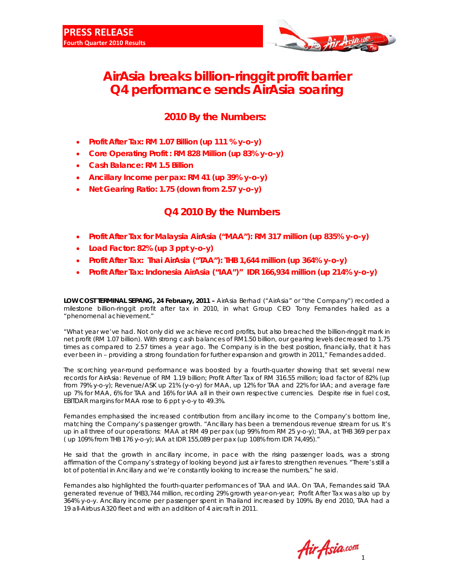

# **AirAsia breaks billion-ringgit profit barrier Q4 performance sends AirAsia soaring**

## **2010 By the Numbers:**

- **Profit After Tax: RM 1.07 Billion (up 111 % y-o-y)**
- **Core Operating Profit : RM 828 Million (up 83% y-o-y)**
- **Cash Balance: RM 1.5 Billion**
- **Ancillary Income per pax: RM 41 (up 39% y-o-y)**
- **Net Gearing Ratio: 1.75 (down from 2.57 y-o-y)**

### **Q4 2010 By the Numbers**

- **Profit After Tax for Malaysia AirAsia ("MAA"): RM 317 million (up 835% y-o-y)**
- **Load Factor: 82% (up 3 ppt y-o-y)**
- **Profit After Tax: Thai AirAsia ("TAA"): THB 1,644 million (up 364% y-o-y)**
- **Profit After Tax: Indonesia AirAsia ("IAA")" IDR 166,934 million (up 214% y-o-y)**

**LOW COST TERMINAL SEPANG, 24 February, 2011 –** AirAsia Berhad ("AirAsia" or "the Company") recorded a milestone billion-ringgit profit after tax in 2010, in what Group CEO Tony Fernandes hailed as a "phenomenal achievement."

"What year we've had. Not only did we achieve record profits, but also breached the billion-ringgit mark in net profit (RM 1.07 billion). With strong cash balances of RM1.50 billion, our gearing levels decreased to 1.75 times as compared to 2.57 times a year ago. The Company is in the best position, financially, that it has ever been in – providing a strong foundation for further expansion and growth in 2011," Fernandes added.

The scorching year-round performance was boosted by a fourth-quarter showing that set several new records for AirAsia: Revenue of RM 1.19 billion; Profit After Tax of RM 316.55 million; load factor of 82% (up from 79% y-o-y); Revenue/ASK up 21% (y-o-y) for MAA, up 12% for TAA and 22% for IAA; and average fare up 7% for MAA, 6% for TAA and 16% for IAA all in their own respective currencies. Despite rise in fuel cost, EBITDAR margins for MAA rose to 6 ppt y-o-y to 49.3%.

Fernandes emphasised the increased contribution from ancillary income to the Company's bottom line, matching the Company's passenger growth. "Ancillary has been a tremendous revenue stream for us. It's up in all three of our operations: MAA at RM 49 per pax (up 99% from RM 25 y-o-y); TAA, at THB 369 per pax ( up 109% from THB 176 y-o-y); IAA at IDR 155,089 per pax (up 108% from IDR 74,495)."

He said that the growth in ancillary income, in pace with the rising passenger loads, was a strong affirmation of the Company's strategy of looking beyond just air fares to strengthen revenues. "There's still a lot of potential in Ancillary and we're constantly looking to increase the numbers," he said.

Fernandes also highlighted the fourth-quarter performances of TAA and IAA. On TAA, Fernandes said TAA generated revenue of THB3,744 million, recording 29% growth year-on-year; Profit After Tax was also up by 364% y-o-y. Ancillary income per passenger spent in Thailand increased by 109%. By end 2010, TAA had a 19 all-Airbus A320 fleet and with an addition of 4 aircraft in 2011.

 $\frac{1}{1}$